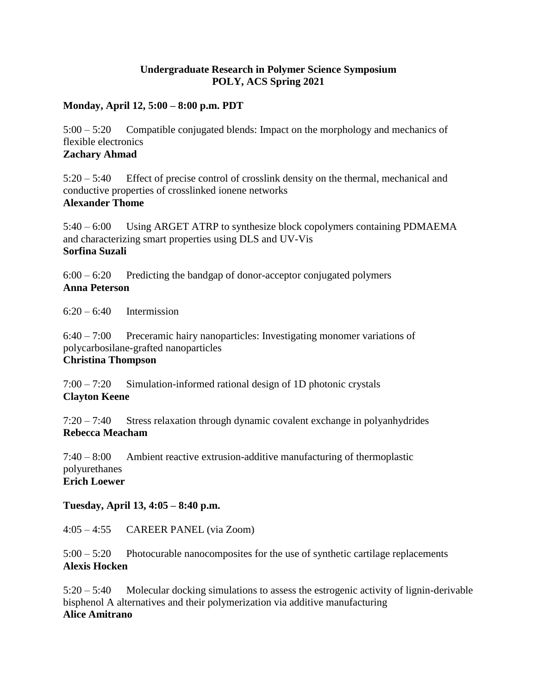### **Undergraduate Research in Polymer Science Symposium POLY, ACS Spring 2021**

#### **Monday, April 12, 5:00 – 8:00 p.m. PDT**

5:00 – 5:20 Compatible conjugated blends: Impact on the morphology and mechanics of flexible electronics **Zachary Ahmad**

5:20 – 5:40 Effect of precise control of crosslink density on the thermal, mechanical and conductive properties of crosslinked ionene networks **Alexander Thome**

5:40 – 6:00 Using ARGET ATRP to synthesize block copolymers containing PDMAEMA and characterizing smart properties using DLS and UV-Vis **Sorfina Suzali**

 $6:00 - 6:20$  Predicting the bandgap of donor-acceptor conjugated polymers **Anna Peterson**

 $6:20 - 6:40$  Intermission

6:40 – 7:00 Preceramic hairy nanoparticles: Investigating monomer variations of polycarbosilane-grafted nanoparticles

## **Christina Thompson**

7:00 – 7:20 Simulation-informed rational design of 1D photonic crystals **Clayton Keene**

7:20 – 7:40 Stress relaxation through dynamic covalent exchange in polyanhydrides **Rebecca Meacham**

7:40 – 8:00 Ambient reactive extrusion-additive manufacturing of thermoplastic polyurethanes **Erich Loewer**

### **Tuesday, April 13, 4:05 – 8:40 p.m.**

4:05 – 4:55 CAREER PANEL (via Zoom)

5:00 – 5:20 Photocurable nanocomposites for the use of synthetic cartilage replacements **Alexis Hocken**

5:20 – 5:40 Molecular docking simulations to assess the estrogenic activity of lignin-derivable bisphenol A alternatives and their polymerization via additive manufacturing **Alice Amitrano**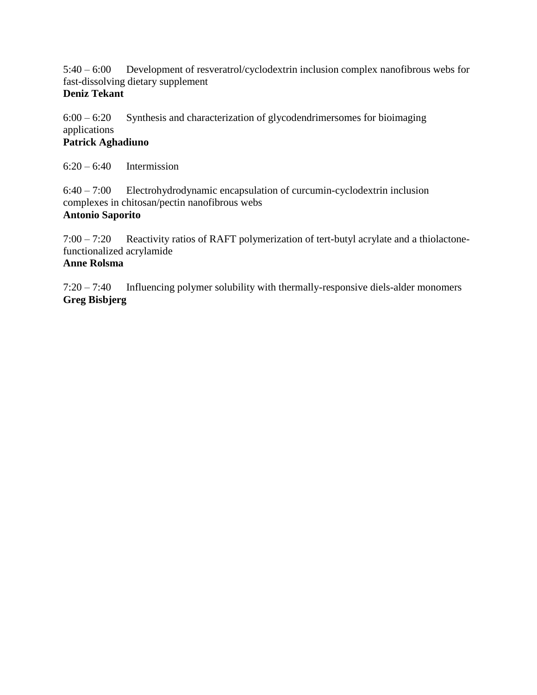5:40 – 6:00 Development of resveratrol/cyclodextrin inclusion complex nanofibrous webs for fast-dissolving dietary supplement

### **Deniz Tekant**

 $6:00 - 6:20$  Synthesis and characterization of glycodendrimersomes for bioimaging applications **Patrick Aghadiuno**

 $6:20 - 6:40$  Intermission

6:40 – 7:00 Electrohydrodynamic encapsulation of curcumin-cyclodextrin inclusion complexes in chitosan/pectin nanofibrous webs **Antonio Saporito**

7:00 – 7:20 Reactivity ratios of RAFT polymerization of tert-butyl acrylate and a thiolactonefunctionalized acrylamide

# **Anne Rolsma**

7:20 – 7:40 Influencing polymer solubility with thermally-responsive diels-alder monomers **Greg Bisbjerg**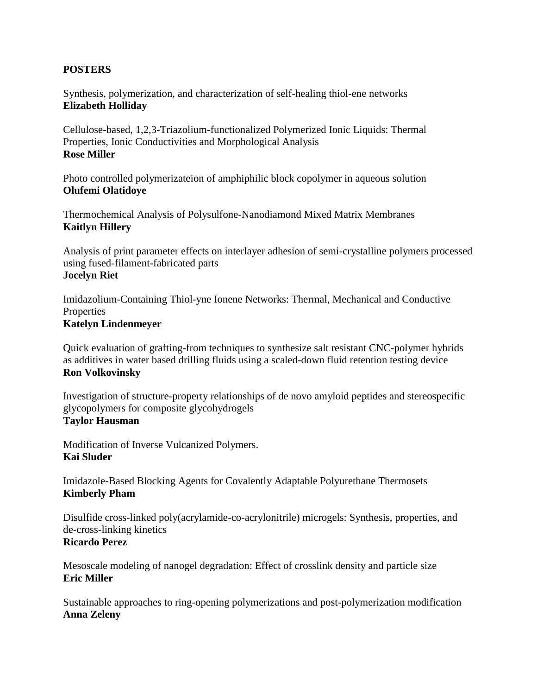#### **POSTERS**

Synthesis, polymerization, and characterization of self-healing thiol-ene networks **Elizabeth Holliday**

Cellulose-based, 1,2,3-Triazolium-functionalized Polymerized Ionic Liquids: Thermal Properties, Ionic Conductivities and Morphological Analysis **Rose Miller**

Photo controlled polymerizateion of amphiphilic block copolymer in aqueous solution **Olufemi Olatidoye**

Thermochemical Analysis of Polysulfone-Nanodiamond Mixed Matrix Membranes **Kaitlyn Hillery**

Analysis of print parameter effects on interlayer adhesion of semi-crystalline polymers processed using fused-filament-fabricated parts **Jocelyn Riet**

Imidazolium-Containing Thiol-yne Ionene Networks: Thermal, Mechanical and Conductive **Properties Katelyn Lindenmeyer**

Quick evaluation of grafting-from techniques to synthesize salt resistant CNC-polymer hybrids as additives in water based drilling fluids using a scaled-down fluid retention testing device **Ron Volkovinsky**

Investigation of structure-property relationships of de novo amyloid peptides and stereospecific glycopolymers for composite glycohydrogels **Taylor Hausman**

Modification of Inverse Vulcanized Polymers. **Kai Sluder**

Imidazole-Based Blocking Agents for Covalently Adaptable Polyurethane Thermosets **Kimberly Pham**

Disulfide cross-linked poly(acrylamide-co-acrylonitrile) microgels: Synthesis, properties, and de-cross-linking kinetics

# **Ricardo Perez**

Mesoscale modeling of nanogel degradation: Effect of crosslink density and particle size **Eric Miller**

Sustainable approaches to ring-opening polymerizations and post-polymerization modification **Anna Zeleny**